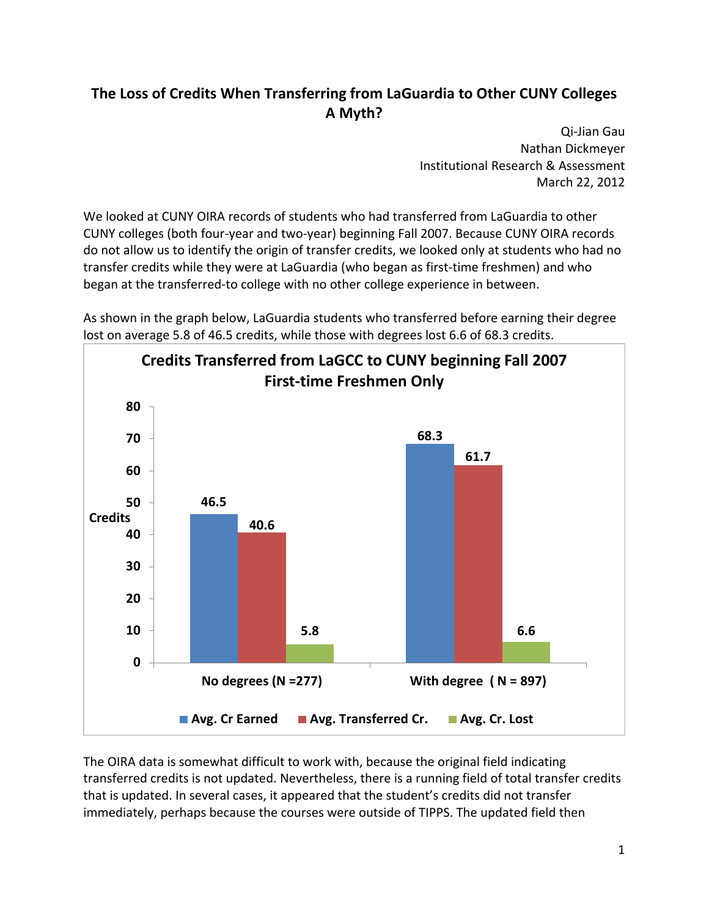## **The Loss of Credits When Transferring from LaGuardia to Other CUNY Colleges A Myth?**

 Qi‐Jian Gau Nathan Dickmeyer Institutional Research & Assessment March 22, 2012

 We looked at CUNY OIRA records of students who had transferred from LaGuardia to other CUNY colleges (both four‐year and two‐year) beginning Fall 2007. Because CUNY OIRA records do not allow us to identify the origin of transfer credits, we looked only at students who had no transfer credits while they were at LaGuardia (who began as first‐time freshmen) and who began at the transferred‐to college with no other college experience in between.



 As shown in the graph below, LaGuardia students who transferred before earning their degree lost on average 5.8 of 46.5 credits, while those with degrees lost 6.6 of 68.3 credits.

 The OIRA data is somewhat difficult to work with, because the original field indicating transferred credits is not updated. Nevertheless, there is a running field of total transfer credits that is updated. In several cases, it appeared that the student's credits did not transfer immediately, perhaps because the courses were outside of TIPPS. The updated field then